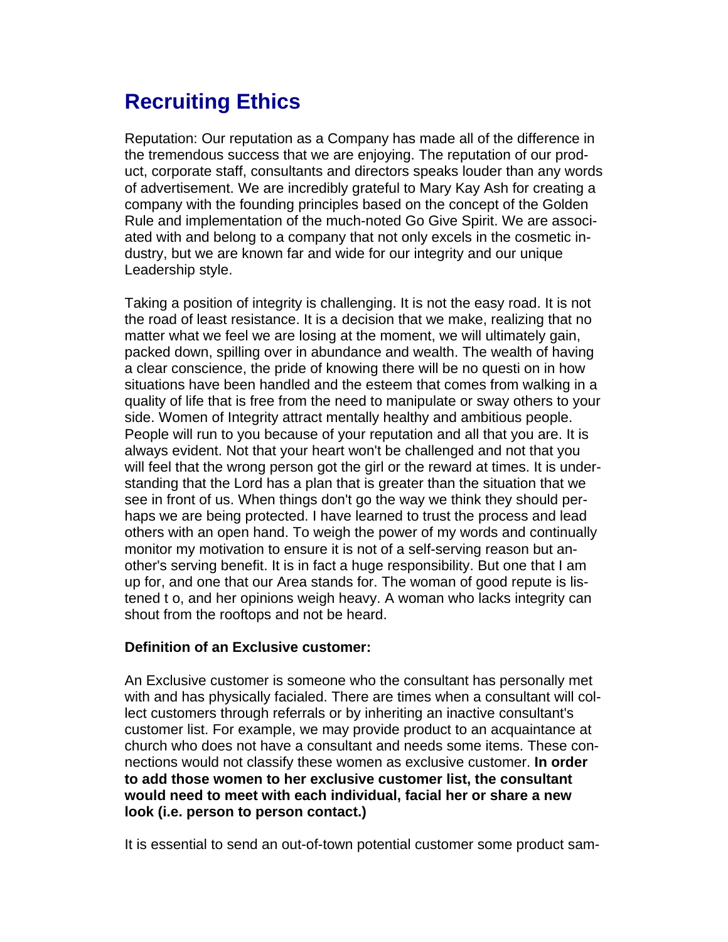# **Recruiting Ethics**

Reputation: Our reputation as a Company has made all of the difference in the tremendous success that we are enjoying. The reputation of our product, corporate staff, consultants and directors speaks louder than any words of advertisement. We are incredibly grateful to Mary Kay Ash for creating a company with the founding principles based on the concept of the Golden Rule and implementation of the much-noted Go Give Spirit. We are associated with and belong to a company that not only excels in the cosmetic industry, but we are known far and wide for our integrity and our unique Leadership style.

Taking a position of integrity is challenging. It is not the easy road. It is not the road of least resistance. It is a decision that we make, realizing that no matter what we feel we are losing at the moment, we will ultimately gain, packed down, spilling over in abundance and wealth. The wealth of having a clear conscience, the pride of knowing there will be no questi on in how situations have been handled and the esteem that comes from walking in a quality of life that is free from the need to manipulate or sway others to your side. Women of Integrity attract mentally healthy and ambitious people. People will run to you because of your reputation and all that you are. It is always evident. Not that your heart won't be challenged and not that you will feel that the wrong person got the girl or the reward at times. It is understanding that the Lord has a plan that is greater than the situation that we see in front of us. When things don't go the way we think they should perhaps we are being protected. I have learned to trust the process and lead others with an open hand. To weigh the power of my words and continually monitor my motivation to ensure it is not of a self-serving reason but another's serving benefit. It is in fact a huge responsibility. But one that I am up for, and one that our Area stands for. The woman of good repute is listened t o, and her opinions weigh heavy. A woman who lacks integrity can shout from the rooftops and not be heard.

## **Definition of an Exclusive customer:**

An Exclusive customer is someone who the consultant has personally met with and has physically facialed. There are times when a consultant will collect customers through referrals or by inheriting an inactive consultant's customer list. For example, we may provide product to an acquaintance at church who does not have a consultant and needs some items. These connections would not classify these women as exclusive customer. **In order to add those women to her exclusive customer list, the consultant would need to meet with each individual, facial her or share a new look (i.e. person to person contact.)** 

It is essential to send an out-of-town potential customer some product sam-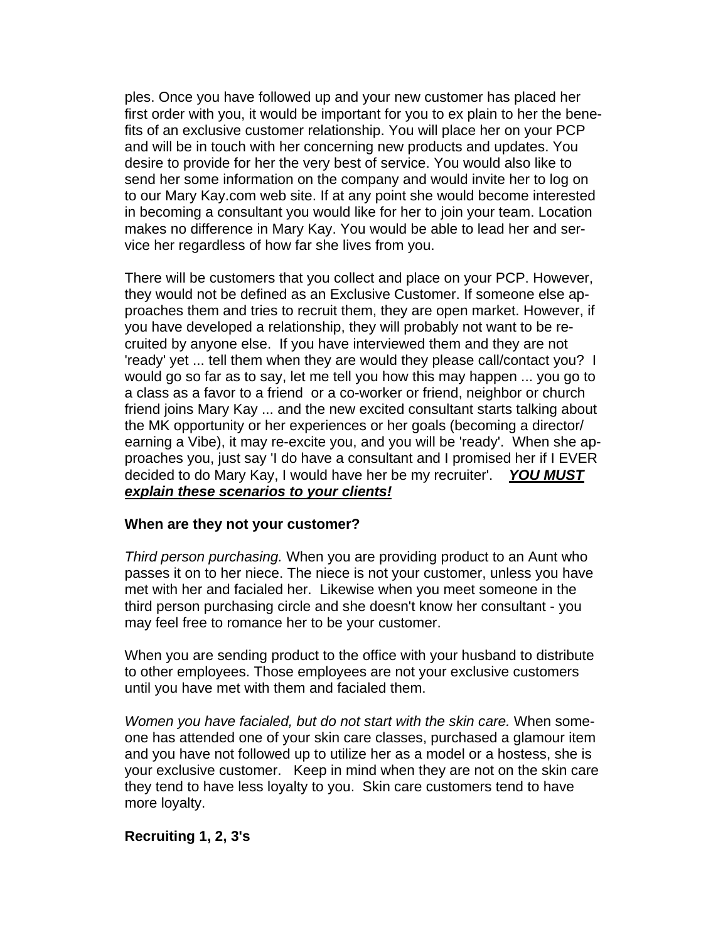ples. Once you have followed up and your new customer has placed her first order with you, it would be important for you to ex plain to her the benefits of an exclusive customer relationship. You will place her on your PCP and will be in touch with her concerning new products and updates. You desire to provide for her the very best of service. You would also like to send her some information on the company and would invite her to log on to our Mary Kay.com web site. If at any point she would become interested in becoming a consultant you would like for her to join your team. Location makes no difference in Mary Kay. You would be able to lead her and service her regardless of how far she lives from you.

There will be customers that you collect and place on your PCP. However, they would not be defined as an Exclusive Customer. If someone else approaches them and tries to recruit them, they are open market. However, if you have developed a relationship, they will probably not want to be recruited by anyone else. If you have interviewed them and they are not 'ready' yet ... tell them when they are would they please call/contact you? I would go so far as to say, let me tell you how this may happen ... you go to a class as a favor to a friend or a co-worker or friend, neighbor or church friend joins Mary Kay ... and the new excited consultant starts talking about the MK opportunity or her experiences or her goals (becoming a director/ earning a Vibe), it may re-excite you, and you will be 'ready'. When she approaches you, just say 'I do have a consultant and I promised her if I EVER decided to do Mary Kay, I would have her be my recruiter'. *YOU MUST explain these scenarios to your clients!*

#### **When are they not your customer?**

*Third person purchasing.* When you are providing product to an Aunt who passes it on to her niece. The niece is not your customer, unless you have met with her and facialed her. Likewise when you meet someone in the third person purchasing circle and she doesn't know her consultant - you may feel free to romance her to be your customer.

When you are sending product to the office with your husband to distribute to other employees. Those employees are not your exclusive customers until you have met with them and facialed them.

*Women you have facialed, but do not start with the skin care.* When someone has attended one of your skin care classes, purchased a glamour item and you have not followed up to utilize her as a model or a hostess, she is your exclusive customer. Keep in mind when they are not on the skin care they tend to have less loyalty to you. Skin care customers tend to have more loyalty.

#### **Recruiting 1, 2, 3's**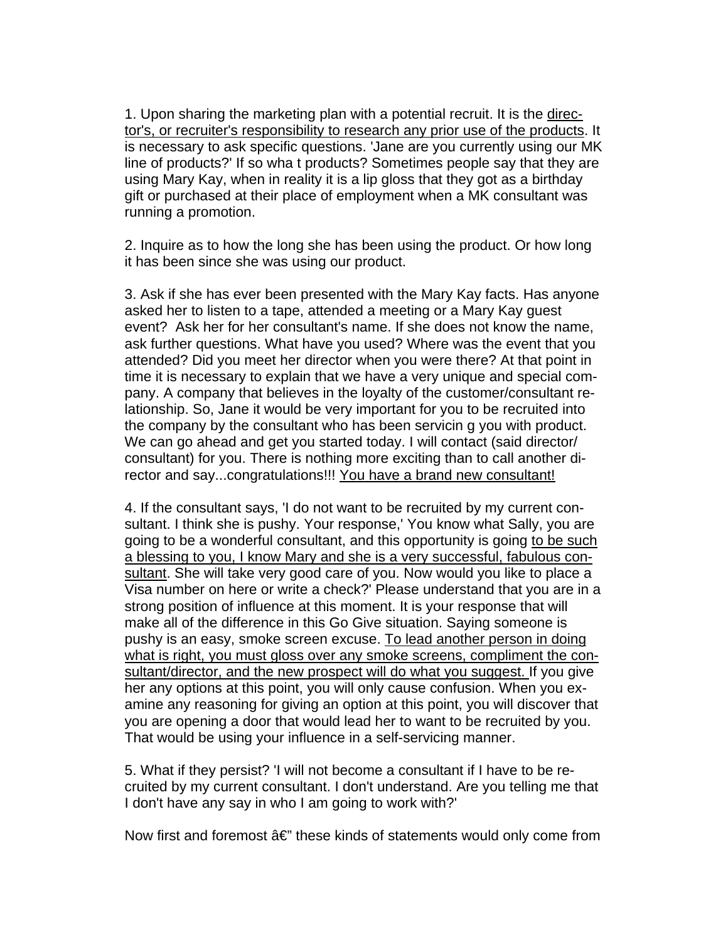1. Upon sharing the marketing plan with a potential recruit. It is the director's, or recruiter's responsibility to research any prior use of the products. It is necessary to ask specific questions. 'Jane are you currently using our MK line of products?' If so wha t products? Sometimes people say that they are using Mary Kay, when in reality it is a lip gloss that they got as a birthday gift or purchased at their place of employment when a MK consultant was running a promotion.

2. Inquire as to how the long she has been using the product. Or how long it has been since she was using our product.

3. Ask if she has ever been presented with the Mary Kay facts. Has anyone asked her to listen to a tape, attended a meeting or a Mary Kay guest event? Ask her for her consultant's name. If she does not know the name, ask further questions. What have you used? Where was the event that you attended? Did you meet her director when you were there? At that point in time it is necessary to explain that we have a very unique and special company. A company that believes in the loyalty of the customer/consultant relationship. So, Jane it would be very important for you to be recruited into the company by the consultant who has been servicin g you with product. We can go ahead and get you started today. I will contact (said director/ consultant) for you. There is nothing more exciting than to call another director and say...congratulations!!! You have a brand new consultant!

4. If the consultant says, 'I do not want to be recruited by my current consultant. I think she is pushy. Your response,' You know what Sally, you are going to be a wonderful consultant, and this opportunity is going to be such a blessing to you, I know Mary and she is a very successful, fabulous consultant. She will take very good care of you. Now would you like to place a Visa number on here or write a check?' Please understand that you are in a strong position of influence at this moment. It is your response that will make all of the difference in this Go Give situation. Saying someone is pushy is an easy, smoke screen excuse. To lead another person in doing what is right, you must gloss over any smoke screens, compliment the consultant/director, and the new prospect will do what you suggest. If you give her any options at this point, you will only cause confusion. When you examine any reasoning for giving an option at this point, you will discover that you are opening a door that would lead her to want to be recruited by you. That would be using your influence in a self-servicing manner.

5. What if they persist? 'I will not become a consultant if I have to be recruited by my current consultant. I don't understand. Are you telling me that I don't have any say in who I am going to work with?'

Now first and foremost  $\hat{a}\epsilon$  these kinds of statements would only come from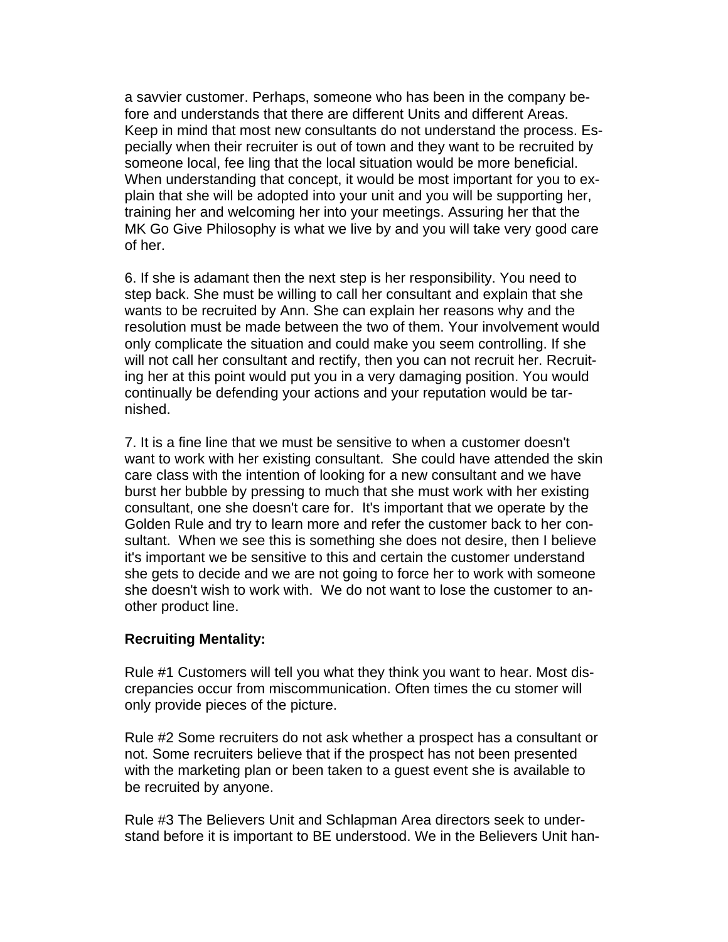a savvier customer. Perhaps, someone who has been in the company before and understands that there are different Units and different Areas. Keep in mind that most new consultants do not understand the process. Especially when their recruiter is out of town and they want to be recruited by someone local, fee ling that the local situation would be more beneficial. When understanding that concept, it would be most important for you to explain that she will be adopted into your unit and you will be supporting her, training her and welcoming her into your meetings. Assuring her that the MK Go Give Philosophy is what we live by and you will take very good care of her.

6. If she is adamant then the next step is her responsibility. You need to step back. She must be willing to call her consultant and explain that she wants to be recruited by Ann. She can explain her reasons why and the resolution must be made between the two of them. Your involvement would only complicate the situation and could make you seem controlling. If she will not call her consultant and rectify, then you can not recruit her. Recruiting her at this point would put you in a very damaging position. You would continually be defending your actions and your reputation would be tarnished.

7. It is a fine line that we must be sensitive to when a customer doesn't want to work with her existing consultant. She could have attended the skin care class with the intention of looking for a new consultant and we have burst her bubble by pressing to much that she must work with her existing consultant, one she doesn't care for. It's important that we operate by the Golden Rule and try to learn more and refer the customer back to her consultant. When we see this is something she does not desire, then I believe it's important we be sensitive to this and certain the customer understand she gets to decide and we are not going to force her to work with someone she doesn't wish to work with. We do not want to lose the customer to another product line.

#### **Recruiting Mentality:**

Rule #1 Customers will tell you what they think you want to hear. Most discrepancies occur from miscommunication. Often times the cu stomer will only provide pieces of the picture.

Rule #2 Some recruiters do not ask whether a prospect has a consultant or not. Some recruiters believe that if the prospect has not been presented with the marketing plan or been taken to a guest event she is available to be recruited by anyone.

Rule #3 The Believers Unit and Schlapman Area directors seek to understand before it is important to BE understood. We in the Believers Unit han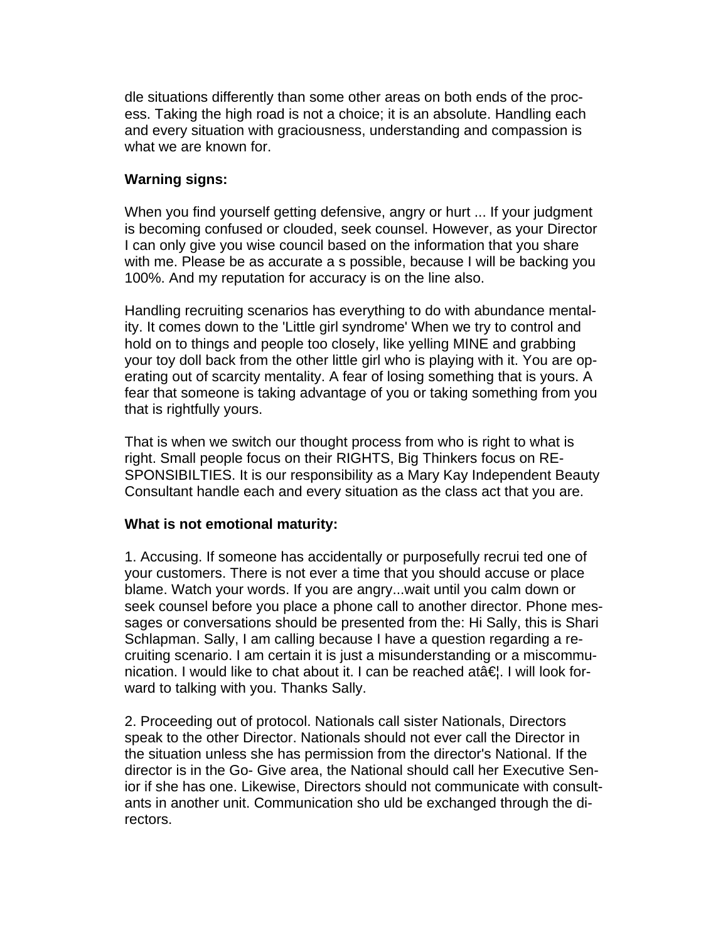dle situations differently than some other areas on both ends of the process. Taking the high road is not a choice; it is an absolute. Handling each and every situation with graciousness, understanding and compassion is what we are known for.

### **Warning signs:**

When you find yourself getting defensive, angry or hurt ... If your judgment is becoming confused or clouded, seek counsel. However, as your Director I can only give you wise council based on the information that you share with me. Please be as accurate a s possible, because I will be backing you 100%. And my reputation for accuracy is on the line also.

Handling recruiting scenarios has everything to do with abundance mentality. It comes down to the 'Little girl syndrome' When we try to control and hold on to things and people too closely, like yelling MINE and grabbing your toy doll back from the other little girl who is playing with it. You are operating out of scarcity mentality. A fear of losing something that is yours. A fear that someone is taking advantage of you or taking something from you that is rightfully yours.

That is when we switch our thought process from who is right to what is right. Small people focus on their RIGHTS, Big Thinkers focus on RE-SPONSIBILTIES. It is our responsibility as a Mary Kay Independent Beauty Consultant handle each and every situation as the class act that you are.

#### **What is not emotional maturity:**

1. Accusing. If someone has accidentally or purposefully recrui ted one of your customers. There is not ever a time that you should accuse or place blame. Watch your words. If you are angry...wait until you calm down or seek counsel before you place a phone call to another director. Phone messages or conversations should be presented from the: Hi Sally, this is Shari Schlapman. Sally, I am calling because I have a question regarding a recruiting scenario. I am certain it is just a misunderstanding or a miscommunication. I would like to chat about it. I can be reached atâ€. I will look forward to talking with you. Thanks Sally.

2. Proceeding out of protocol. Nationals call sister Nationals, Directors speak to the other Director. Nationals should not ever call the Director in the situation unless she has permission from the director's National. If the director is in the Go- Give area, the National should call her Executive Senior if she has one. Likewise, Directors should not communicate with consultants in another unit. Communication sho uld be exchanged through the directors.